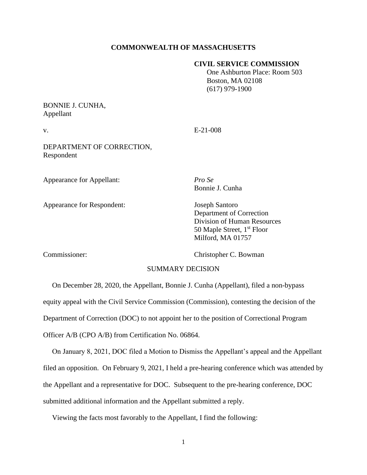## **COMMONWEALTH OF MASSACHUSETTS**

## **CIVIL SERVICE COMMISSION**

 One Ashburton Place: Room 503 Boston, MA 02108 (617) 979-1900

## BONNIE J. CUNHA, Appellant

v. E-21-008

DEPARTMENT OF CORRECTION, Respondent

Appearance for Appellant: *Pro Se*

Appearance for Respondent: Joseph Santoro

Bonnie J. Cunha

Department of Correction Division of Human Resources 50 Maple Street, 1<sup>st</sup> Floor Milford, MA 01757

Commissioner: Christopher C. Bowman

## SUMMARY DECISION

 On December 28, 2020, the Appellant, Bonnie J. Cunha (Appellant), filed a non-bypass equity appeal with the Civil Service Commission (Commission), contesting the decision of the Department of Correction (DOC) to not appoint her to the position of Correctional Program Officer A/B (CPO A/B) from Certification No. 06864.

 On January 8, 2021, DOC filed a Motion to Dismiss the Appellant's appeal and the Appellant filed an opposition. On February 9, 2021, I held a pre-hearing conference which was attended by the Appellant and a representative for DOC. Subsequent to the pre-hearing conference, DOC submitted additional information and the Appellant submitted a reply.

Viewing the facts most favorably to the Appellant, I find the following: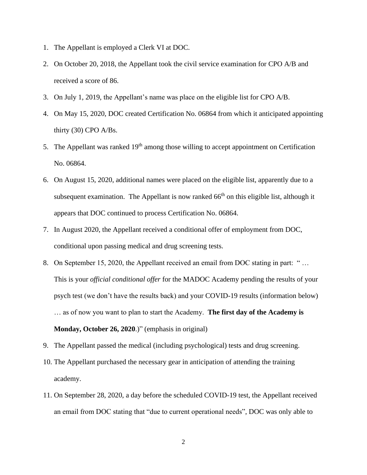- 1. The Appellant is employed a Clerk VI at DOC.
- 2. On October 20, 2018, the Appellant took the civil service examination for CPO A/B and received a score of 86.
- 3. On July 1, 2019, the Appellant's name was place on the eligible list for CPO A/B.
- 4. On May 15, 2020, DOC created Certification No. 06864 from which it anticipated appointing thirty (30) CPO A/Bs.
- 5. The Appellant was ranked 19<sup>th</sup> among those willing to accept appointment on Certification No. 06864.
- 6. On August 15, 2020, additional names were placed on the eligible list, apparently due to a subsequent examination. The Appellant is now ranked  $66<sup>th</sup>$  on this eligible list, although it appears that DOC continued to process Certification No. 06864.
- 7. In August 2020, the Appellant received a conditional offer of employment from DOC, conditional upon passing medical and drug screening tests.
- 8. On September 15, 2020, the Appellant received an email from DOC stating in part: " … This is your *official conditional offer* for the MADOC Academy pending the results of your psych test (we don't have the results back) and your COVID-19 results (information below) … as of now you want to plan to start the Academy. **The first day of the Academy is Monday, October 26, 2020**.)" (emphasis in original)
- 9. The Appellant passed the medical (including psychological) tests and drug screening.
- 10. The Appellant purchased the necessary gear in anticipation of attending the training academy.
- 11. On September 28, 2020, a day before the scheduled COVID-19 test, the Appellant received an email from DOC stating that "due to current operational needs", DOC was only able to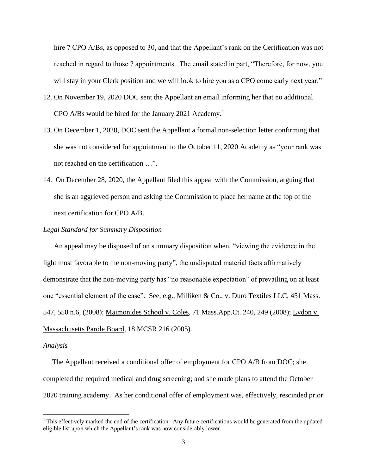hire 7 CPO A/Bs, as opposed to 30, and that the Appellant's rank on the Certification was not reached in regard to those 7 appointments. The email stated in part, "Therefore, for now, you will stay in your Clerk position and we will look to hire you as a CPO come early next year."

- 12. On November 19, 2020 DOC sent the Appellant an email informing her that no additional CPO A/Bs would be hired for the January 2021 Academy.<sup>1</sup>
- 13. On December 1, 2020, DOC sent the Appellant a formal non-selection letter confirming that she was not considered for appointment to the October 11, 2020 Academy as "your rank was not reached on the certification …".
- 14. On December 28, 2020, the Appellant filed this appeal with the Commission, arguing that she is an aggrieved person and asking the Commission to place her name at the top of the next certification for CPO A/B.

## *Legal Standard for Summary Disposition*

An appeal may be disposed of on summary disposition when, "viewing the evidence in the light most favorable to the non-moving party", the undisputed material facts affirmatively demonstrate that the non-moving party has "no reasonable expectation" of prevailing on at least one "essential element of the case". See, e.g., Milliken & Co., v. Duro Textiles LLC, 451 Mass. 547, 550 n.6, (2008); Maimonides School v. Coles, 71 Mass.App.Ct. 240, 249 (2008); Lydon v. Massachusetts Parole Board, 18 MCSR 216 (2005).

#### *Analysis*

 The Appellant received a conditional offer of employment for CPO A/B from DOC; she completed the required medical and drug screening; and she made plans to attend the October 2020 training academy. As her conditional offer of employment was, effectively, rescinded prior

<sup>&</sup>lt;sup>1</sup> This effectively marked the end of the certification. Any future certifications would be generated from the updated eligible list upon which the Appellant's rank was now considerably lower.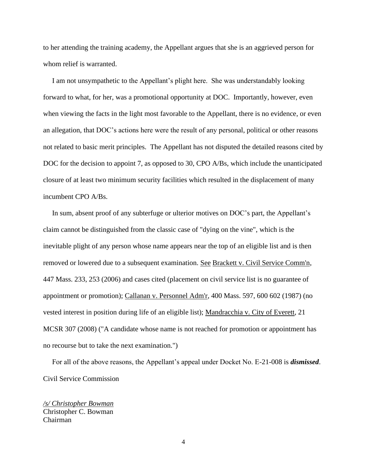to her attending the training academy, the Appellant argues that she is an aggrieved person for whom relief is warranted.

 I am not unsympathetic to the Appellant's plight here. She was understandably looking forward to what, for her, was a promotional opportunity at DOC. Importantly, however, even when viewing the facts in the light most favorable to the Appellant, there is no evidence, or even an allegation, that DOC's actions here were the result of any personal, political or other reasons not related to basic merit principles. The Appellant has not disputed the detailed reasons cited by DOC for the decision to appoint 7, as opposed to 30, CPO A/Bs, which include the unanticipated closure of at least two minimum security facilities which resulted in the displacement of many incumbent CPO A/Bs.

 In sum, absent proof of any subterfuge or ulterior motives on DOC's part, the Appellant's claim cannot be distinguished from the classic case of "dying on the vine", which is the inevitable plight of any person whose name appears near the top of an eligible list and is then removed or lowered due to a subsequent examination. See Brackett v. Civil Service Comm'n, 447 Mass. 233, 253 (2006) and cases cited (placement on civil service list is no guarantee of appointment or promotion); Callanan v. Personnel Adm'r, 400 Mass. 597, 600 602 (1987) (no vested interest in position during life of an eligible list); Mandracchia v. City of Everett, 21 MCSR 307 (2008) ("A candidate whose name is not reached for promotion or appointment has no recourse but to take the next examination.")

 For all of the above reasons, the Appellant's appeal under Docket No. E-21-008 is *dismissed*. Civil Service Commission

*/s/ Christopher Bowman* Christopher C. Bowman Chairman